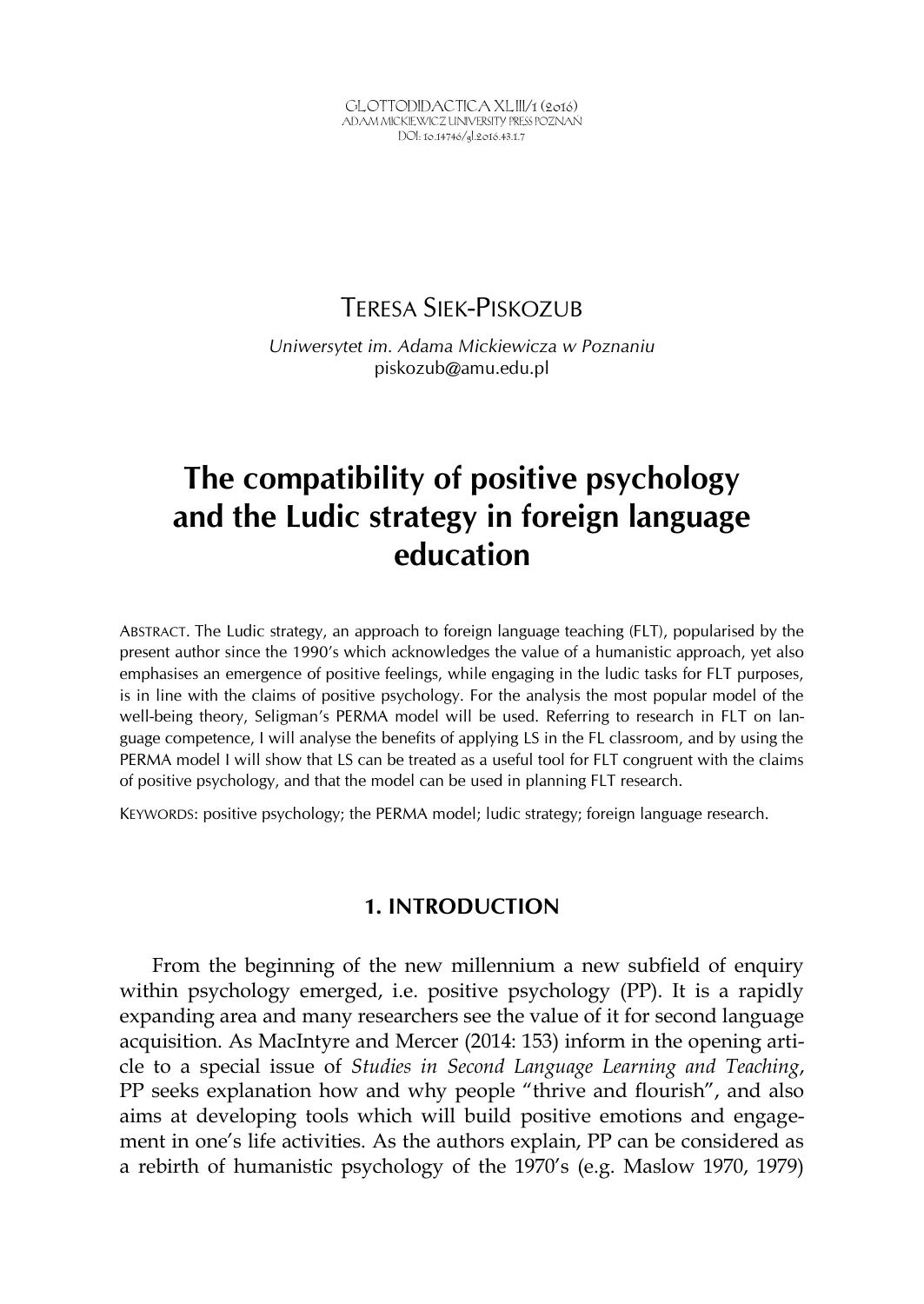GLOTTODIDACTICA XLIII/1 (2016) ADAM MICKIEWICZ UNIVERSITY PRESS POZNAŃ DOI: 10.14746/gl.2016.43.1.7

## TERESA SIEK-PISKOZUB

*Uniwersytet im. Adama Mickiewicza w Poznaniu* piskozub@amu.edu.pl

# **The compatibility of positive psychology and the Ludic strategy in foreign language education**

ABSTRACT. The Ludic strategy, an approach to foreign language teaching (FLT), popularised by the present author since the 1990's which acknowledges the value of a humanistic approach, yet also emphasises an emergence of positive feelings, while engaging in the ludic tasks for FLT purposes, is in line with the claims of positive psychology. For the analysis the most popular model of the well-being theory, Seligman's PERMA model will be used. Referring to research in FLT on language competence, I will analyse the benefits of applying LS in the FL classroom, and by using the PERMA model I will show that LS can be treated as a useful tool for FLT congruent with the claims of positive psychology, and that the model can be used in planning FLT research.

KEYWORDS: positive psychology; the PERMA model; ludic strategy; foreign language research.

### **1. INTRODUCTION**

From the beginning of the new millennium a new subfield of enquiry within psychology emerged, i.e. positive psychology (PP). It is a rapidly expanding area and many researchers see the value of it for second language acquisition. As MacIntyre and Mercer (2014: 153) inform in the opening article to a special issue of *Studies in Second Language Learning and Teaching*, PP seeks explanation how and why people "thrive and flourish", and also aims at developing tools which will build positive emotions and engagement in one's life activities. As the authors explain, PP can be considered as a rebirth of humanistic psychology of the 1970's (e.g. Maslow 1970, 1979)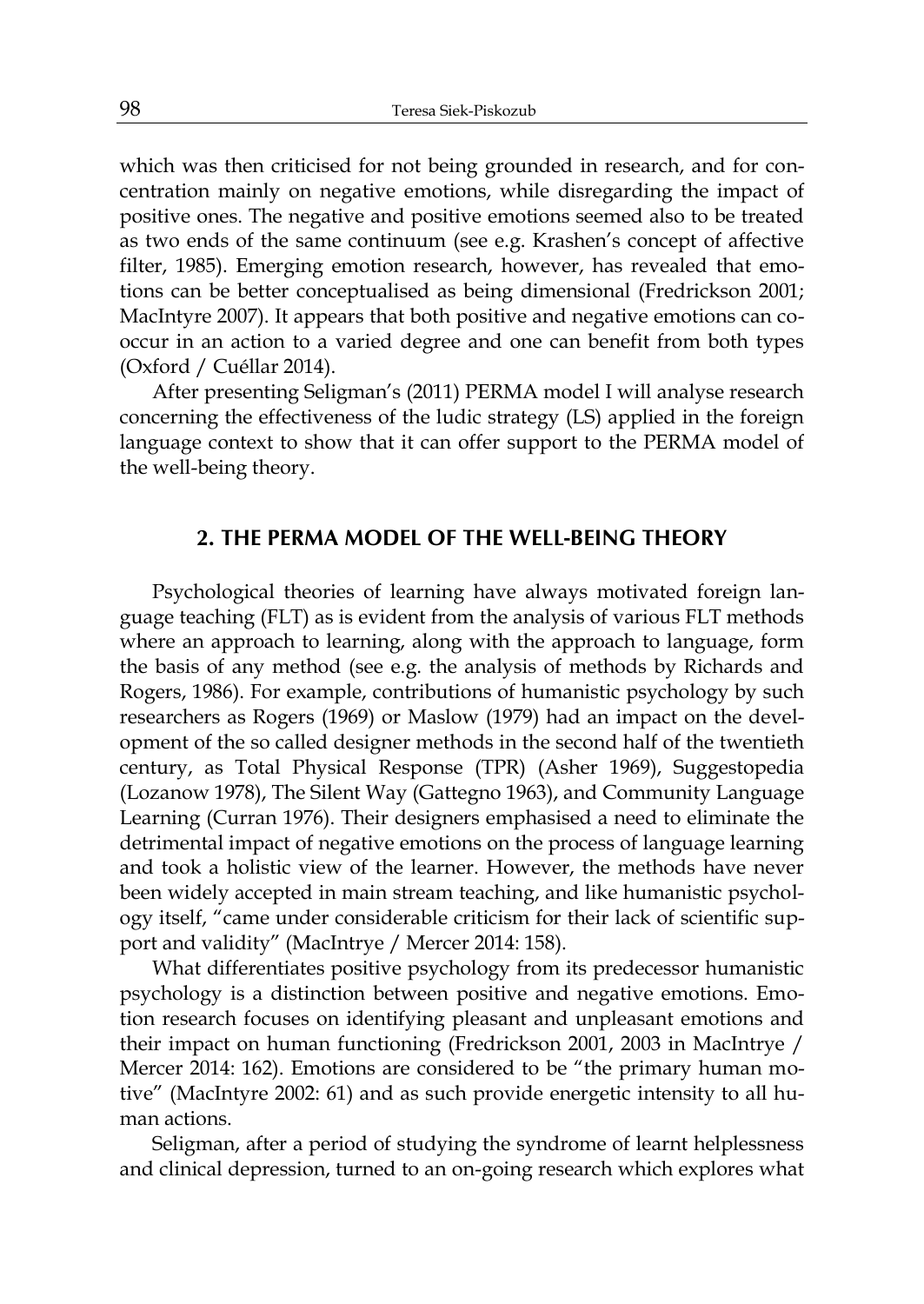which was then criticised for not being grounded in research, and for concentration mainly on negative emotions, while disregarding the impact of positive ones. The negative and positive emotions seemed also to be treated as two ends of the same continuum (see e.g. Krashen's concept of affective filter, 1985). Emerging emotion research, however, has revealed that emotions can be better conceptualised as being dimensional (Fredrickson 2001; MacIntyre 2007). It appears that both positive and negative emotions can cooccur in an action to a varied degree and one can benefit from both types (Oxford / Cuéllar 2014).

After presenting Seligman's (2011) PERMA model I will analyse research concerning the effectiveness of the ludic strategy (LS) applied in the foreign language context to show that it can offer support to the PERMA model of the well-being theory.

### **2. THE PERMA MODEL OF THE WELL-BEING THEORY**

Psychological theories of learning have always motivated foreign language teaching (FLT) as is evident from the analysis of various FLT methods where an approach to learning, along with the approach to language, form the basis of any method (see e.g. the analysis of methods by Richards and Rogers, 1986). For example, contributions of humanistic psychology by such researchers as Rogers (1969) or Maslow (1979) had an impact on the development of the so called designer methods in the second half of the twentieth century, as Total Physical Response (TPR) (Asher 1969), Suggestopedia (Lozanow 1978), The Silent Way (Gattegno 1963), and Community Language Learning (Curran 1976). Their designers emphasised a need to eliminate the detrimental impact of negative emotions on the process of language learning and took a holistic view of the learner. However, the methods have never been widely accepted in main stream teaching, and like humanistic psychology itself, "came under considerable criticism for their lack of scientific support and validity" (MacIntrye / Mercer 2014: 158).

What differentiates positive psychology from its predecessor humanistic psychology is a distinction between positive and negative emotions. Emotion research focuses on identifying pleasant and unpleasant emotions and their impact on human functioning (Fredrickson 2001, 2003 in MacIntrye / Mercer 2014: 162). Emotions are considered to be "the primary human motive" (MacIntyre 2002: 61) and as such provide energetic intensity to all human actions.

Seligman, after a period of studying the syndrome of learnt helplessness and clinical depression, turned to an on-going research which explores what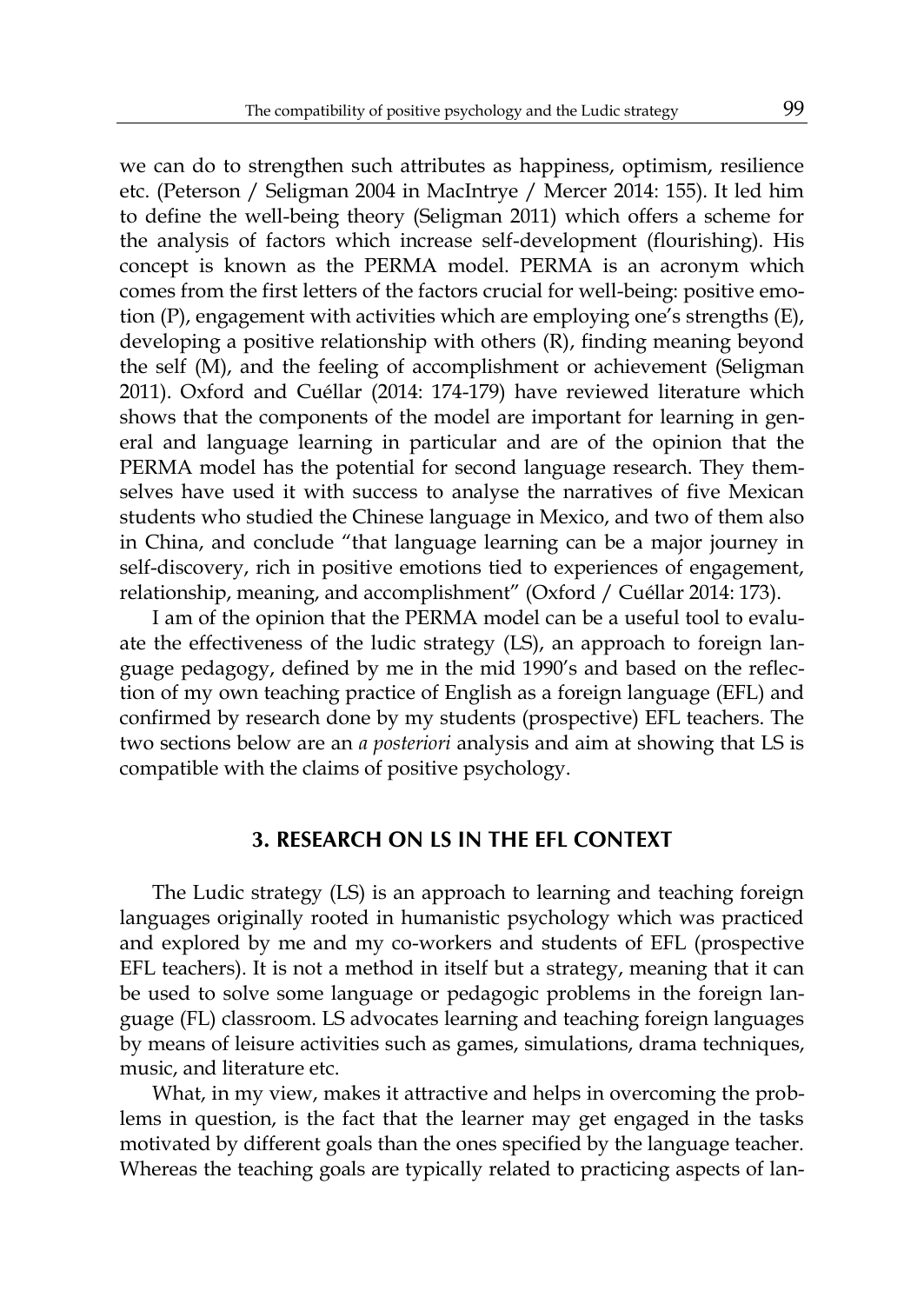we can do to strengthen such attributes as happiness, optimism, resilience etc. (Peterson / Seligman 2004 in MacIntrye / Mercer 2014: 155). It led him to define the well-being theory (Seligman 2011) which offers a scheme for the analysis of factors which increase self-development (flourishing). His concept is known as the PERMA model. PERMA is an acronym which comes from the first letters of the factors crucial for well-being: positive emotion (P), engagement with activities which are employing one's strengths (E), developing a positive relationship with others (R), finding meaning beyond the self (M), and the feeling of accomplishment or achievement (Seligman 2011). Oxford and Cuéllar (2014: 174-179) have reviewed literature which shows that the components of the model are important for learning in general and language learning in particular and are of the opinion that the PERMA model has the potential for second language research. They themselves have used it with success to analyse the narratives of five Mexican students who studied the Chinese language in Mexico, and two of them also in China, and conclude "that language learning can be a major journey in self-discovery, rich in positive emotions tied to experiences of engagement, relationship, meaning, and accomplishment" (Oxford / Cuéllar 2014: 173).

I am of the opinion that the PERMA model can be a useful tool to evaluate the effectiveness of the ludic strategy (LS), an approach to foreign language pedagogy, defined by me in the mid 1990's and based on the reflection of my own teaching practice of English as a foreign language (EFL) and confirmed by research done by my students (prospective) EFL teachers. The two sections below are an *a posteriori* analysis and aim at showing that LS is compatible with the claims of positive psychology.

### **3. RESEARCH ON LS IN THE EFL CONTEXT**

The Ludic strategy (LS) is an approach to learning and teaching foreign languages originally rooted in humanistic psychology which was practiced and explored by me and my co-workers and students of EFL (prospective EFL teachers). It is not a method in itself but a strategy, meaning that it can be used to solve some language or pedagogic problems in the foreign language (FL) classroom. LS advocates learning and teaching foreign languages by means of leisure activities such as games, simulations, drama techniques, music, and literature etc.

What, in my view, makes it attractive and helps in overcoming the problems in question, is the fact that the learner may get engaged in the tasks motivated by different goals than the ones specified by the language teacher. Whereas the teaching goals are typically related to practicing aspects of lan-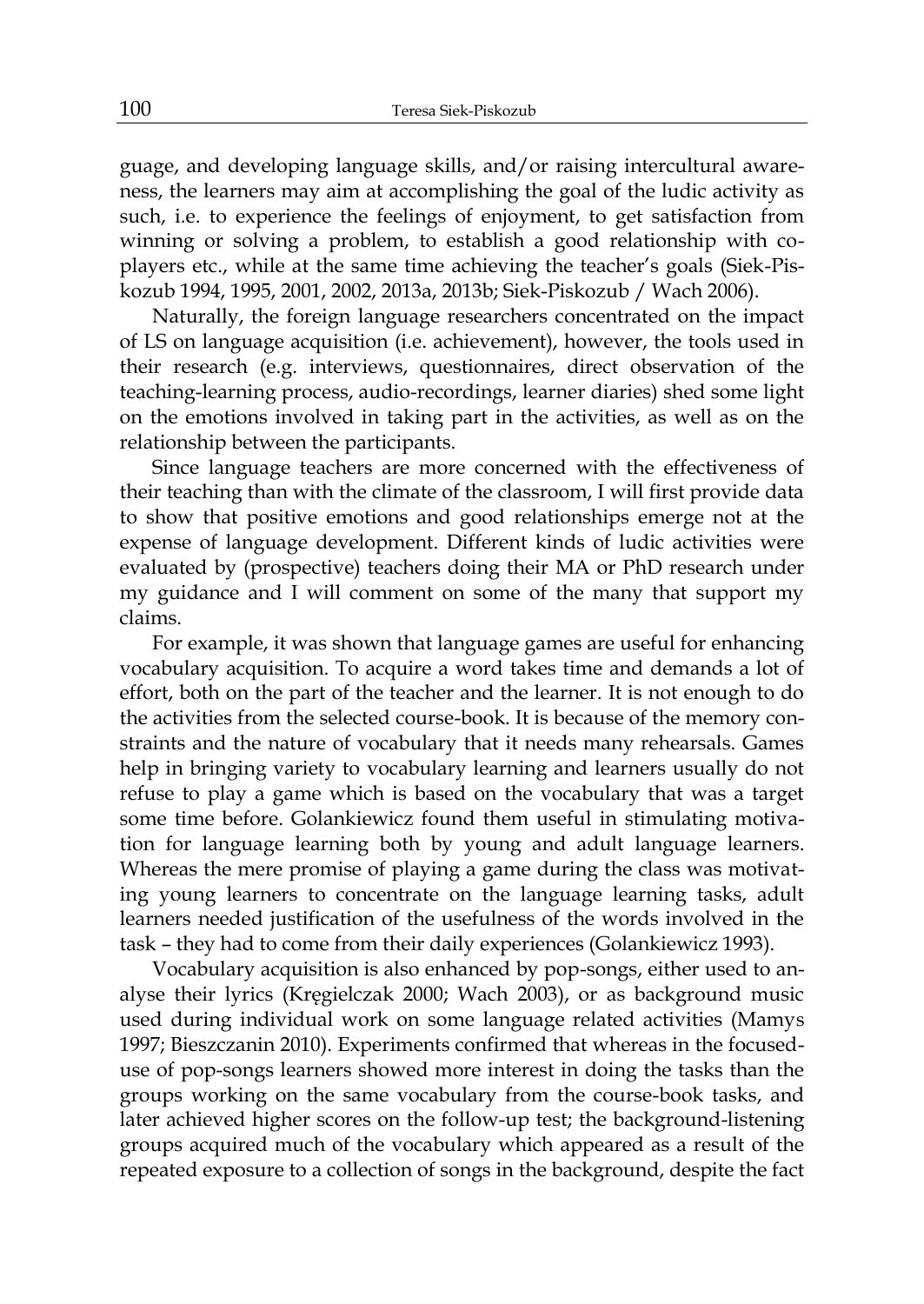guage, and developing language skills, and/or raising intercultural awareness, the learners may aim at accomplishing the goal of the ludic activity as such, i.e. to experience the feelings of enjoyment, to get satisfaction from winning or solving a problem, to establish a good relationship with coplayers etc., while at the same time achieving the teacher's goals (Siek-Piskozub 1994, 1995, 2001, 2002, 2013a, 2013b; Siek-Piskozub / Wach 2006).

Naturally, the foreign language researchers concentrated on the impact of LS on language acquisition (i.e. achievement), however, the tools used in their research (e.g. interviews, questionnaires, direct observation of the teaching-learning process, audio-recordings, learner diaries) shed some light on the emotions involved in taking part in the activities, as well as on the relationship between the participants.

Since language teachers are more concerned with the effectiveness of their teaching than with the climate of the classroom, I will first provide data to show that positive emotions and good relationships emerge not at the expense of language development. Different kinds of ludic activities were evaluated by (prospective) teachers doing their MA or PhD research under my guidance and I will comment on some of the many that support my claims.

For example, it was shown that language games are useful for enhancing vocabulary acquisition. To acquire a word takes time and demands a lot of effort, both on the part of the teacher and the learner. It is not enough to do the activities from the selected course-book. It is because of the memory constraints and the nature of vocabulary that it needs many rehearsals. Games help in bringing variety to vocabulary learning and learners usually do not refuse to play a game which is based on the vocabulary that was a target some time before. Golankiewicz found them useful in stimulating motivation for language learning both by young and adult language learners. Whereas the mere promise of playing a game during the class was motivating young learners to concentrate on the language learning tasks, adult learners needed justification of the usefulness of the words involved in the task – they had to come from their daily experiences (Golankiewicz 1993).

Vocabulary acquisition is also enhanced by pop-songs, either used to analyse their lyrics (Kręgielczak 2000; Wach 2003), or as background music used during individual work on some language related activities (Mamys 1997; Bieszczanin 2010). Experiments confirmed that whereas in the focuseduse of pop-songs learners showed more interest in doing the tasks than the groups working on the same vocabulary from the course-book tasks, and later achieved higher scores on the follow-up test; the background-listening groups acquired much of the vocabulary which appeared as a result of the repeated exposure to a collection of songs in the background, despite the fact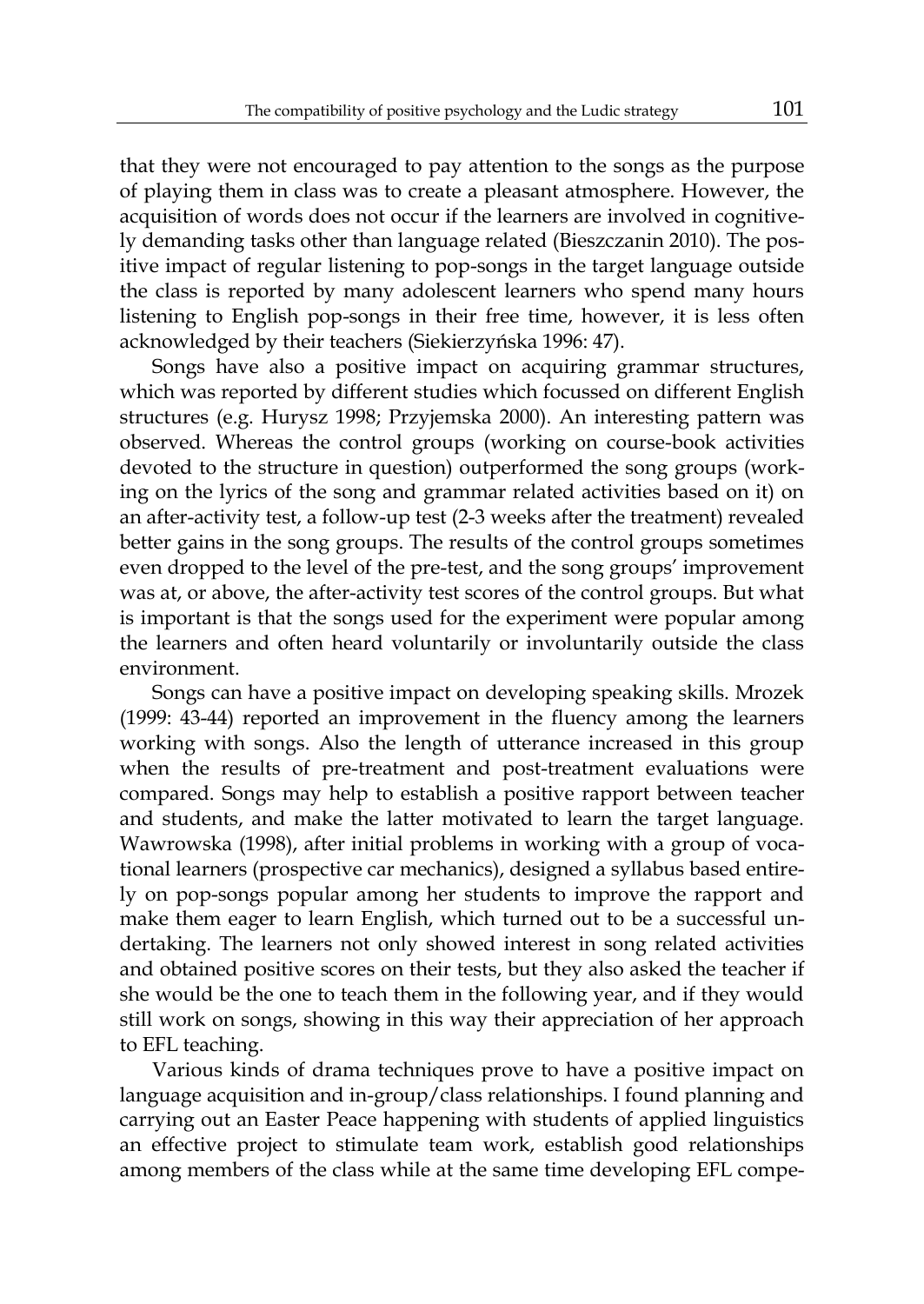that they were not encouraged to pay attention to the songs as the purpose of playing them in class was to create a pleasant atmosphere. However, the acquisition of words does not occur if the learners are involved in cognitively demanding tasks other than language related (Bieszczanin 2010). The positive impact of regular listening to pop-songs in the target language outside the class is reported by many adolescent learners who spend many hours listening to English pop-songs in their free time, however, it is less often acknowledged by their teachers (Siekierzyńska 1996: 47).

Songs have also a positive impact on acquiring grammar structures, which was reported by different studies which focussed on different English structures (e.g. Hurysz 1998; Przyjemska 2000). An interesting pattern was observed. Whereas the control groups (working on course-book activities devoted to the structure in question) outperformed the song groups (working on the lyrics of the song and grammar related activities based on it) on an after-activity test, a follow-up test (2-3 weeks after the treatment) revealed better gains in the song groups. The results of the control groups sometimes even dropped to the level of the pre-test, and the song groups' improvement was at, or above, the after-activity test scores of the control groups. But what is important is that the songs used for the experiment were popular among the learners and often heard voluntarily or involuntarily outside the class environment.

Songs can have a positive impact on developing speaking skills. Mrozek (1999: 43-44) reported an improvement in the fluency among the learners working with songs. Also the length of utterance increased in this group when the results of pre-treatment and post-treatment evaluations were compared. Songs may help to establish a positive rapport between teacher and students, and make the latter motivated to learn the target language. Wawrowska (1998), after initial problems in working with a group of vocational learners (prospective car mechanics), designed a syllabus based entirely on pop-songs popular among her students to improve the rapport and make them eager to learn English, which turned out to be a successful undertaking. The learners not only showed interest in song related activities and obtained positive scores on their tests, but they also asked the teacher if she would be the one to teach them in the following year, and if they would still work on songs, showing in this way their appreciation of her approach to EFL teaching.

Various kinds of drama techniques prove to have a positive impact on language acquisition and in-group/class relationships. I found planning and carrying out an Easter Peace happening with students of applied linguistics an effective project to stimulate team work, establish good relationships among members of the class while at the same time developing EFL compe-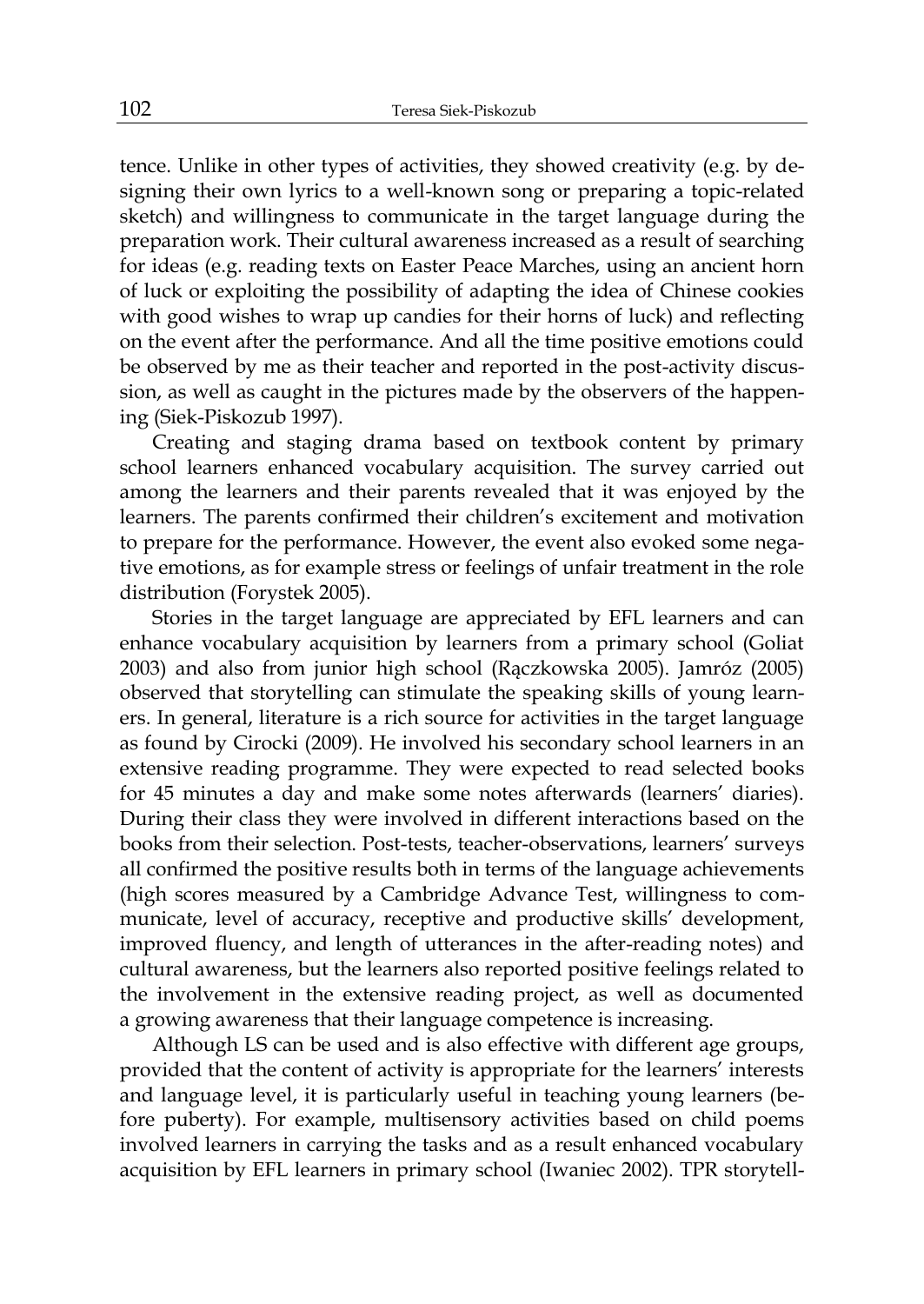tence. Unlike in other types of activities, they showed creativity (e.g. by designing their own lyrics to a well-known song or preparing a topic-related sketch) and willingness to communicate in the target language during the preparation work. Their cultural awareness increased as a result of searching for ideas (e.g. reading texts on Easter Peace Marches, using an ancient horn of luck or exploiting the possibility of adapting the idea of Chinese cookies with good wishes to wrap up candies for their horns of luck) and reflecting on the event after the performance. And all the time positive emotions could be observed by me as their teacher and reported in the post-activity discussion, as well as caught in the pictures made by the observers of the happening (Siek-Piskozub 1997).

Creating and staging drama based on textbook content by primary school learners enhanced vocabulary acquisition. The survey carried out among the learners and their parents revealed that it was enjoyed by the learners. The parents confirmed their children's excitement and motivation to prepare for the performance. However, the event also evoked some negative emotions, as for example stress or feelings of unfair treatment in the role distribution (Forystek 2005).

Stories in the target language are appreciated by EFL learners and can enhance vocabulary acquisition by learners from a primary school (Goliat 2003) and also from junior high school (Rączkowska 2005). Jamróz (2005) observed that storytelling can stimulate the speaking skills of young learners. In general, literature is a rich source for activities in the target language as found by Cirocki (2009). He involved his secondary school learners in an extensive reading programme. They were expected to read selected books for 45 minutes a day and make some notes afterwards (learners' diaries). During their class they were involved in different interactions based on the books from their selection. Post-tests, teacher-observations, learners' surveys all confirmed the positive results both in terms of the language achievements (high scores measured by a Cambridge Advance Test, willingness to communicate, level of accuracy, receptive and productive skills' development, improved fluency, and length of utterances in the after-reading notes) and cultural awareness, but the learners also reported positive feelings related to the involvement in the extensive reading project, as well as documented a growing awareness that their language competence is increasing.

Although LS can be used and is also effective with different age groups, provided that the content of activity is appropriate for the learners' interests and language level, it is particularly useful in teaching young learners (before puberty). For example, multisensory activities based on child poems involved learners in carrying the tasks and as a result enhanced vocabulary acquisition by EFL learners in primary school (Iwaniec 2002). TPR storytell-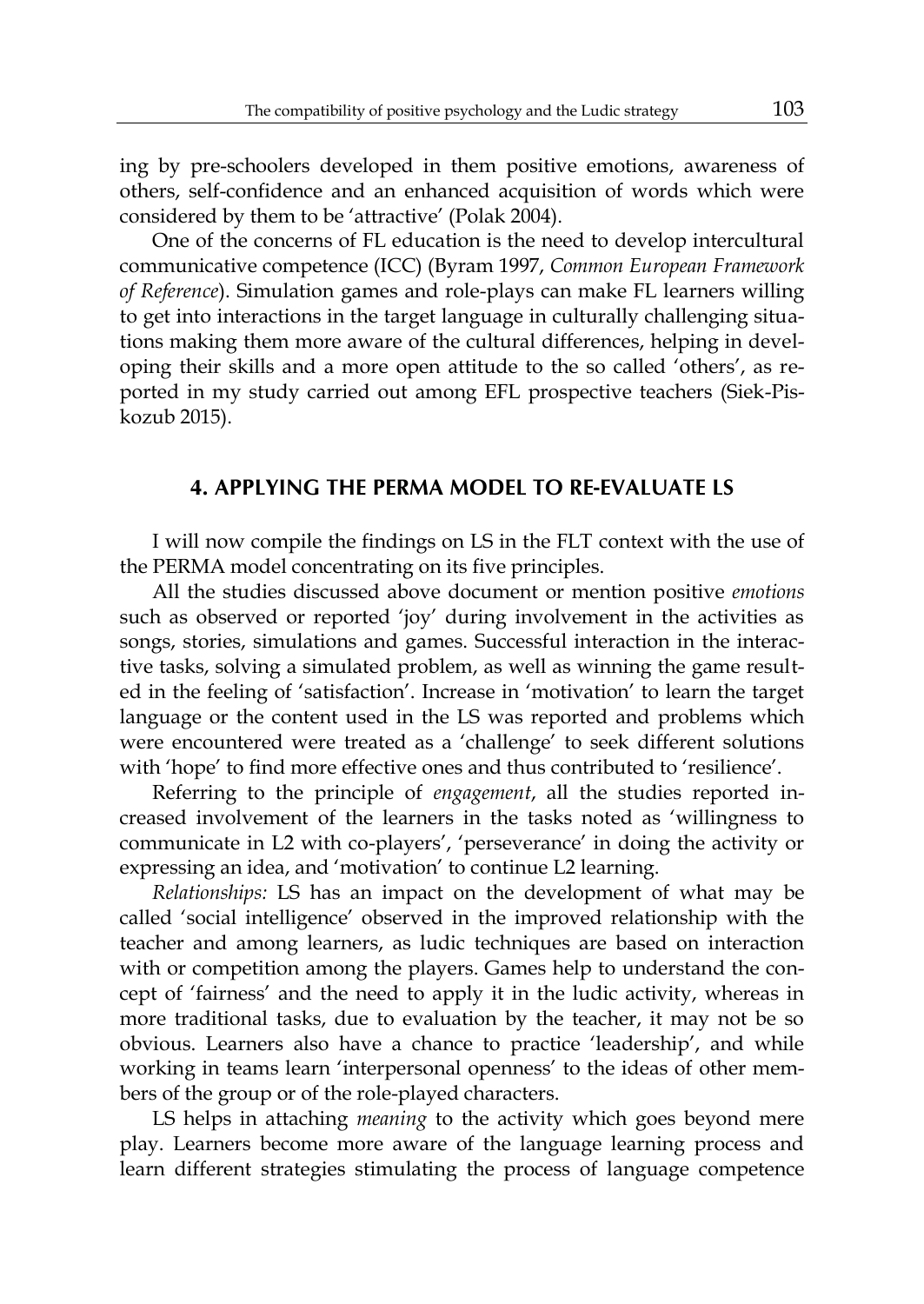ing by pre-schoolers developed in them positive emotions, awareness of others, self-confidence and an enhanced acquisition of words which were considered by them to be 'attractive' (Polak 2004).

One of the concerns of FL education is the need to develop intercultural communicative competence (ICC) (Byram 1997, *Common European Framework of Reference*). Simulation games and role-plays can make FL learners willing to get into interactions in the target language in culturally challenging situations making them more aware of the cultural differences, helping in developing their skills and a more open attitude to the so called 'others', as reported in my study carried out among EFL prospective teachers (Siek-Piskozub 2015).

### **4. APPLYING THE PERMA MODEL TO RE-EVALUATE LS**

I will now compile the findings on LS in the FLT context with the use of the PERMA model concentrating on its five principles.

All the studies discussed above document or mention positive *emotions* such as observed or reported 'joy' during involvement in the activities as songs, stories, simulations and games. Successful interaction in the interactive tasks, solving a simulated problem, as well as winning the game resulted in the feeling of 'satisfaction'. Increase in 'motivation' to learn the target language or the content used in the LS was reported and problems which were encountered were treated as a 'challenge' to seek different solutions with 'hope' to find more effective ones and thus contributed to 'resilience'.

Referring to the principle of *engagement*, all the studies reported increased involvement of the learners in the tasks noted as 'willingness to communicate in L2 with co-players', 'perseverance' in doing the activity or expressing an idea, and 'motivation' to continue L2 learning.

*Relationships:* LS has an impact on the development of what may be called 'social intelligence' observed in the improved relationship with the teacher and among learners, as ludic techniques are based on interaction with or competition among the players. Games help to understand the concept of 'fairness' and the need to apply it in the ludic activity, whereas in more traditional tasks, due to evaluation by the teacher, it may not be so obvious. Learners also have a chance to practice 'leadership', and while working in teams learn 'interpersonal openness' to the ideas of other members of the group or of the role-played characters.

LS helps in attaching *meaning* to the activity which goes beyond mere play. Learners become more aware of the language learning process and learn different strategies stimulating the process of language competence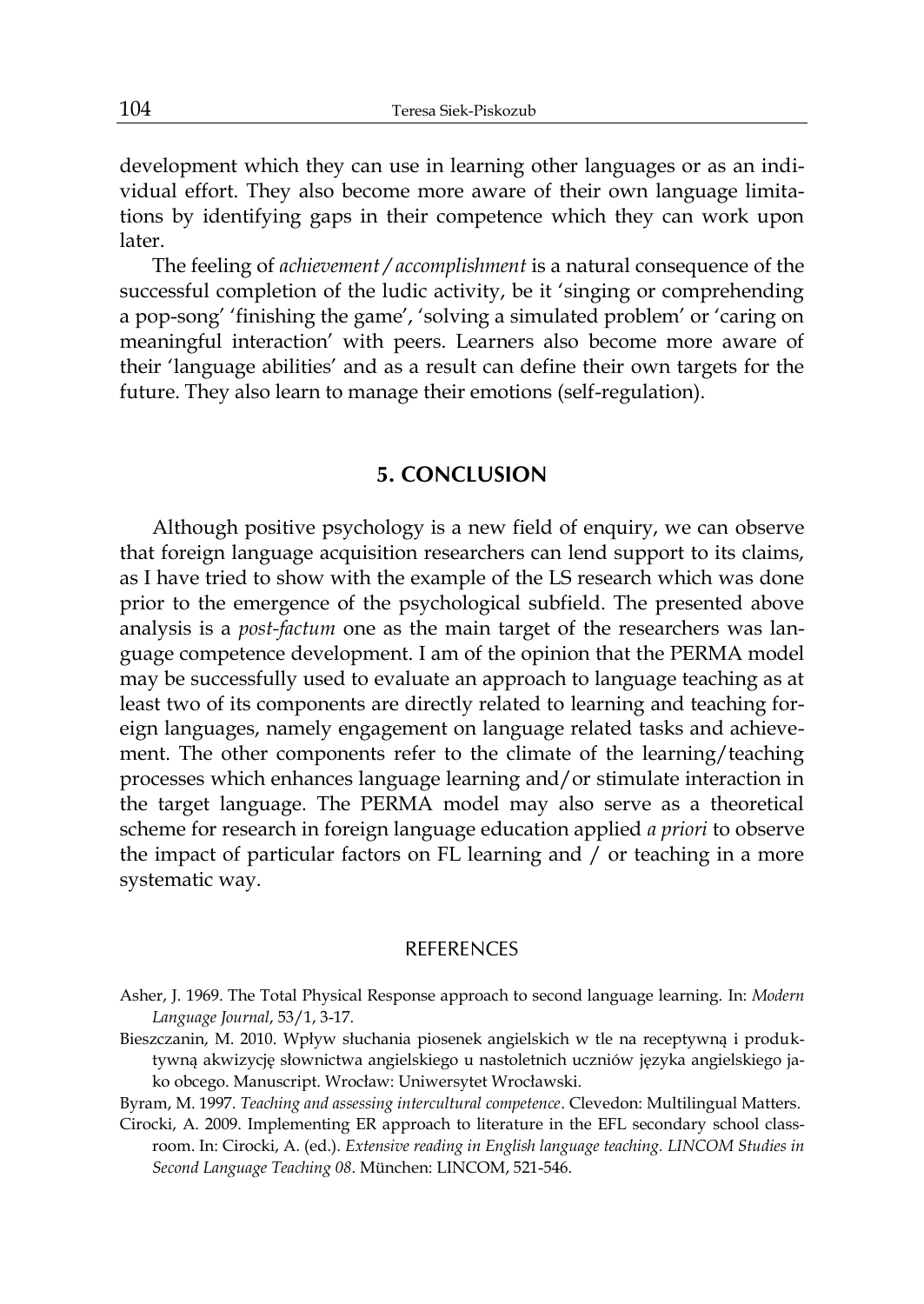development which they can use in learning other languages or as an individual effort. They also become more aware of their own language limitations by identifying gaps in their competence which they can work upon later.

The feeling of *achievement / accomplishment* is a natural consequence of the successful completion of the ludic activity, be it 'singing or comprehending a pop-song' 'finishing the game', 'solving a simulated problem' or 'caring on meaningful interaction' with peers. Learners also become more aware of their 'language abilities' and as a result can define their own targets for the future. They also learn to manage their emotions (self-regulation).

#### **5. CONCLUSION**

Although positive psychology is a new field of enquiry, we can observe that foreign language acquisition researchers can lend support to its claims, as I have tried to show with the example of the LS research which was done prior to the emergence of the psychological subfield. The presented above analysis is a *post-factum* one as the main target of the researchers was language competence development. I am of the opinion that the PERMA model may be successfully used to evaluate an approach to language teaching as at least two of its components are directly related to learning and teaching foreign languages, namely engagement on language related tasks and achievement. The other components refer to the climate of the learning/teaching processes which enhances language learning and/or stimulate interaction in the target language. The PERMA model may also serve as a theoretical scheme for research in foreign language education applied *a priori* to observe the impact of particular factors on FL learning and / or teaching in a more systematic way.

#### REFERENCES

- Bieszczanin, M. 2010. Wpływ słuchania piosenek angielskich w tle na receptywną i produktywną akwizycję słownictwa angielskiego u nastoletnich uczniów języka angielskiego jako obcego. Manuscript. Wrocław: Uniwersytet Wrocławski.
- Byram, M. 1997. *Teaching and assessing intercultural competence*. Clevedon: Multilingual Matters.
- Cirocki, A. 2009. Implementing ER approach to literature in the EFL secondary school classroom. In: Cirocki, A. (ed.). *Extensive reading in English language teaching. LINCOM Studies in Second Language Teaching 08*. München: LINCOM, 521-546.

Asher, J. 1969. The Total Physical Response approach to second language learning. In: *Modern Language Journal*, 53/1, 3-17.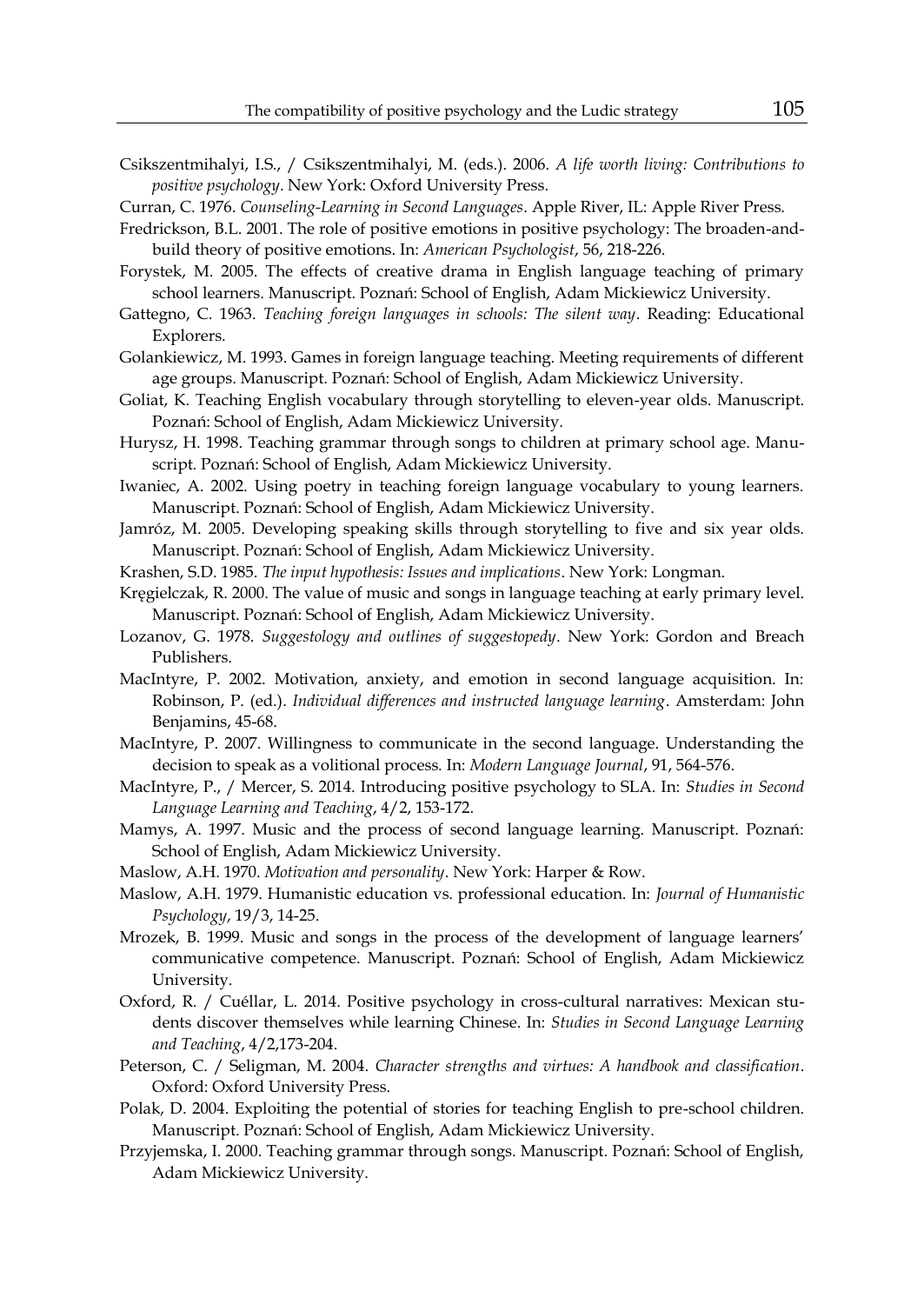Csikszentmihalyi, I.S., / Csikszentmihalyi, M. (eds.). 2006. *A life worth living: Contributions to positive psychology*. New York: Oxford University Press.

Curran, C. 1976. *Counseling-Learning in Second Languages*. Apple River, IL: Apple River Press.

- Fredrickson, B.L. 2001. The role of positive emotions in positive psychology: The broaden-andbuild theory of positive emotions. In: *American Psychologist*, 56, 218-226.
- Forystek, M. 2005. The effects of creative drama in English language teaching of primary school learners. Manuscript. Poznań: School of English, Adam Mickiewicz University.
- Gattegno, C. 1963. *Teaching foreign languages in schools: The silent way*. Reading: Educational Explorers.
- Golankiewicz, M. 1993. Games in foreign language teaching. Meeting requirements of different age groups. Manuscript. Poznań: School of English, Adam Mickiewicz University.
- Goliat, K. Teaching English vocabulary through storytelling to eleven-year olds. Manuscript. Poznań: School of English, Adam Mickiewicz University.
- Hurysz, H. 1998. Teaching grammar through songs to children at primary school age. Manuscript. Poznań: School of English, Adam Mickiewicz University.
- Iwaniec, A. 2002. Using poetry in teaching foreign language vocabulary to young learners. Manuscript. Poznań: School of English, Adam Mickiewicz University.
- Jamróz, M. 2005. Developing speaking skills through storytelling to five and six year olds. Manuscript. Poznań: School of English, Adam Mickiewicz University.
- Krashen, S.D. 1985. *The input hypothesis: Issues and implications*. New York: Longman.
- Kręgielczak, R. 2000. The value of music and songs in language teaching at early primary level. Manuscript. Poznań: School of English, Adam Mickiewicz University.
- Lozanov, G. 1978. *Suggestology and outlines of suggestopedy*. New York: Gordon and Breach Publishers.
- MacIntyre, P. 2002. Motivation, anxiety, and emotion in second language acquisition. In: Robinson, P. (ed.). *Individual differences and instructed language learning*. Amsterdam: John Benjamins, 45-68.
- MacIntyre, P. 2007. Willingness to communicate in the second language. Understanding the decision to speak as a volitional process. In: *Modern Language Journal*, 91, 564-576.
- MacIntyre, P., / Mercer, S. 2014. Introducing positive psychology to SLA. In: *Studies in Second Language Learning and Teaching*, 4/2, 153-172.
- Mamys, A. 1997. Music and the process of second language learning. Manuscript. Poznań: School of English, Adam Mickiewicz University.
- Maslow, A.H. 1970. *Motivation and personality*. New York: Harper & Row.
- Maslow, A.H. 1979. Humanistic education vs. professional education. In: *Journal of Humanistic Psychology*, 19/3, 14-25.
- Mrozek, B. 1999. Music and songs in the process of the development of language learners' communicative competence. Manuscript. Poznań: School of English, Adam Mickiewicz University.
- Oxford, R. / Cuéllar, L. 2014. Positive psychology in cross-cultural narratives: Mexican students discover themselves while learning Chinese. In: *Studies in Second Language Learning and Teaching*, 4/2,173-204.
- Peterson, C. / Seligman, M. 2004. *Character strengths and virtues: A handbook and classification*. Oxford: Oxford University Press.
- Polak, D. 2004. Exploiting the potential of stories for teaching English to pre-school children. Manuscript. Poznań: School of English, Adam Mickiewicz University.
- Przyjemska, I. 2000. Teaching grammar through songs. Manuscript. Poznań: School of English, Adam Mickiewicz University.